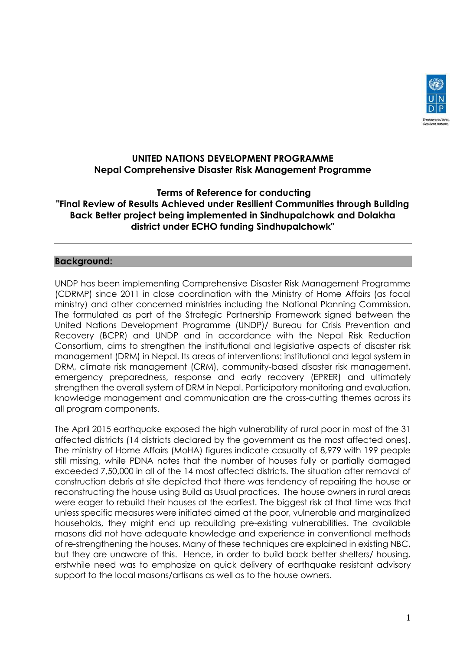

### **UNITED NATIONS DEVELOPMENT PROGRAMME Nepal Comprehensive Disaster Risk Management Programme**

**Terms of Reference for conducting "Final Review of Results Achieved under Resilient Communities through Building Back Better project being implemented in Sindhupalchowk and Dolakha district under ECHO funding Sindhupalchowk"**

### **Background:**

UNDP has been implementing Comprehensive Disaster Risk Management Programme (CDRMP) since 2011 in close coordination with the Ministry of Home Affairs (as focal ministry) and other concerned ministries including the National Planning Commission. The formulated as part of the Strategic Partnership Framework signed between the United Nations Development Programme (UNDP)/ Bureau for Crisis Prevention and Recovery (BCPR) and UNDP and in accordance with the Nepal Risk Reduction Consortium, aims to strengthen the institutional and legislative aspects of disaster risk management (DRM) in Nepal. Its areas of interventions: institutional and legal system in DRM, climate risk management (CRM), community-based disaster risk management, emergency preparedness, response and early recovery (EPRER) and ultimately strengthen the overall system of DRM in Nepal. Participatory monitoring and evaluation, knowledge management and communication are the cross-cutting themes across its all program components.

The April 2015 earthquake exposed the high vulnerability of rural poor in most of the 31 affected districts (14 districts declared by the government as the most affected ones). The ministry of Home Affairs (MoHA) figures indicate casualty of 8,979 with 199 people still missing, while PDNA notes that the number of houses fully or partially damaged exceeded 7,50,000 in all of the 14 most affected districts. The situation after removal of construction debris at site depicted that there was tendency of repairing the house or reconstructing the house using Build as Usual practices. The house owners in rural areas were eager to rebuild their houses at the earliest. The biggest risk at that time was that unless specific measures were initiated aimed at the poor, vulnerable and marginalized households, they might end up rebuilding pre-existing vulnerabilities. The available masons did not have adequate knowledge and experience in conventional methods of re-strengthening the houses. Many of these techniques are explained in existing NBC, but they are unaware of this. Hence, in order to build back better shelters/ housing, erstwhile need was to emphasize on quick delivery of earthquake resistant advisory support to the local masons/artisans as well as to the house owners.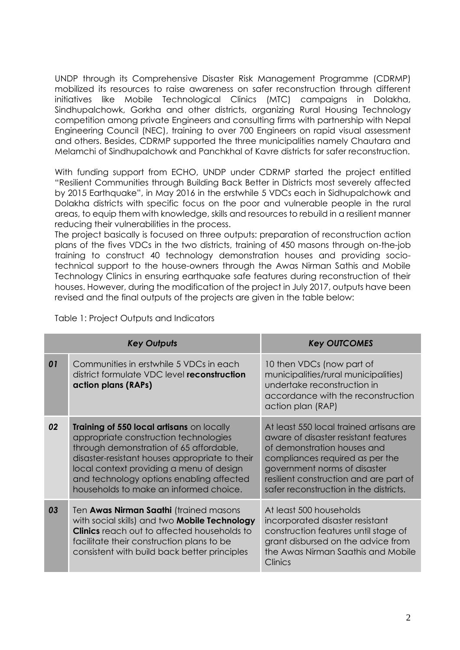UNDP through its Comprehensive Disaster Risk Management Programme (CDRMP) mobilized its resources to raise awareness on safer reconstruction through different initiatives like Mobile Technological Clinics (MTC) campaigns in Dolakha, Sindhupalchowk, Gorkha and other districts, organizing Rural Housing Technology competition among private Engineers and consulting firms with partnership with Nepal Engineering Council (NEC), training to over 700 Engineers on rapid visual assessment and others. Besides, CDRMP supported the three municipalities namely Chautara and Melamchi of Sindhupalchowk and Panchkhal of Kavre districts for safer reconstruction.

With funding support from ECHO, UNDP under CDRMP started the project entitled "Resilient Communities through Building Back Better in Districts most severely affected by 2015 Earthquake", in May 2016 in the erstwhile 5 VDCs each in Sidhupalchowk and Dolakha districts with specific focus on the poor and vulnerable people in the rural areas, to equip them with knowledge, skills and resources to rebuild in a resilient manner reducing their vulnerabilities in the process.

The project basically is focused on three outputs: preparation of reconstruction action plans of the fives VDCs in the two districts, training of 450 masons through on-the-job training to construct 40 technology demonstration houses and providing sociotechnical support to the house-owners through the Awas Nirman Sathis and Mobile Technology Clinics in ensuring earthquake safe features during reconstruction of their houses. However, during the modification of the project in July 2017, outputs have been revised and the final outputs of the projects are given in the table below:

|    | <b>Key Outputs</b>                                                                                                                                                                                                                                                                                                | <b>Key OUTCOMES</b>                                                                                                                                                                                                                                                   |  |  |  |
|----|-------------------------------------------------------------------------------------------------------------------------------------------------------------------------------------------------------------------------------------------------------------------------------------------------------------------|-----------------------------------------------------------------------------------------------------------------------------------------------------------------------------------------------------------------------------------------------------------------------|--|--|--|
| 01 | Communities in erstwhile 5 VDCs in each<br>district formulate VDC level <b>reconstruction</b><br>action plans (RAPs)                                                                                                                                                                                              | 10 then VDCs (now part of<br>municipalities/rural municipalities)<br>undertake reconstruction in<br>accordance with the reconstruction<br>action plan (RAP)                                                                                                           |  |  |  |
| 02 | Training of 550 local artisans on locally<br>appropriate construction technologies<br>through demonstration of 65 affordable,<br>disaster-resistant houses appropriate to their<br>local context providing a menu of design<br>and technology options enabling affected<br>households to make an informed choice. | At least 550 local trained artisans are<br>aware of disaster resistant features<br>of demonstration houses and<br>compliances required as per the<br>government norms of disaster<br>resilient construction and are part of<br>safer reconstruction in the districts. |  |  |  |
| 03 | Ten Awas Nirman Saathi (trained masons<br>with social skills) and two <b>Mobile Technology</b><br><b>Clinics</b> reach out to affected households to<br>facilitate their construction plans to be<br>consistent with build back better principles                                                                 | At least 500 households<br>incorporated disaster resistant<br>construction features until stage of<br>grant disbursed on the advice from<br>the Awas Nirman Saathis and Mobile<br>Clinics                                                                             |  |  |  |

Table 1: Project Outputs and Indicators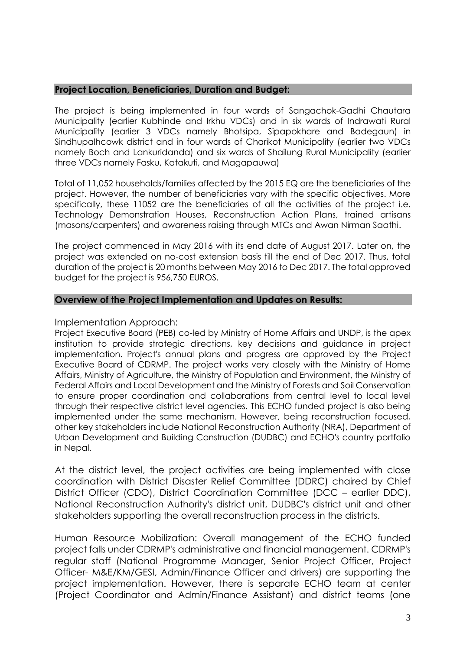### **Project Location, Beneficiaries, Duration and Budget:**

The project is being implemented in four wards of Sangachok-Gadhi Chautara Municipality (earlier Kubhinde and Irkhu VDCs) and in six wards of Indrawati Rural Municipality (earlier 3 VDCs namely Bhotsipa, Sipapokhare and Badegaun) in Sindhupalhcowk district and in four wards of Charikot Municipality (earlier two VDCs namely Boch and Lankuridanda) and six wards of Shailung Rural Municipality (earlier three VDCs namely Fasku, Katakuti, and Magapauwa)

Total of 11,052 households/families affected by the 2015 EQ are the beneficiaries of the project. However, the number of beneficiaries vary with the specific objectives. More specifically, these 11052 are the beneficiaries of all the activities of the project i.e. Technology Demonstration Houses, Reconstruction Action Plans, trained artisans (masons/carpenters) and awareness raising through MTCs and Awan Nirman Saathi.

The project commenced in May 2016 with its end date of August 2017. Later on, the project was extended on no-cost extension basis till the end of Dec 2017. Thus, total duration of the project is 20 months between May 2016 to Dec 2017. The total approved budget for the project is 956,750 EUROS.

#### **Overview of the Project Implementation and Updates on Results:**

#### Implementation Approach:

Project Executive Board (PEB) co-led by Ministry of Home Affairs and UNDP, is the apex institution to provide strategic directions, key decisions and guidance in project implementation. Project's annual plans and progress are approved by the Project Executive Board of CDRMP. The project works very closely with the Ministry of Home Affairs, Ministry of Agriculture, the Ministry of Population and Environment, the Ministry of Federal Affairs and Local Development and the Ministry of Forests and Soil Conservation to ensure proper coordination and collaborations from central level to local level through their respective district level agencies. This ECHO funded project is also being implemented under the same mechanism. However, being reconstruction focused, other key stakeholders include National Reconstruction Authority (NRA), Department of Urban Development and Building Construction (DUDBC) and ECHO's country portfolio in Nepal.

At the district level, the project activities are being implemented with close coordination with District Disaster Relief Committee (DDRC) chaired by Chief District Officer (CDO), District Coordination Committee (DCC – earlier DDC), National Reconstruction Authority's district unit, DUDBC's district unit and other stakeholders supporting the overall reconstruction process in the districts.

Human Resource Mobilization: Overall management of the ECHO funded project falls under CDRMP's administrative and financial management. CDRMP's regular staff (National Programme Manager, Senior Project Officer, Project Officer- M&E/KM/GESI, Admin/Finance Officer and drivers) are supporting the project implementation. However, there is separate ECHO team at center (Project Coordinator and Admin/Finance Assistant) and district teams (one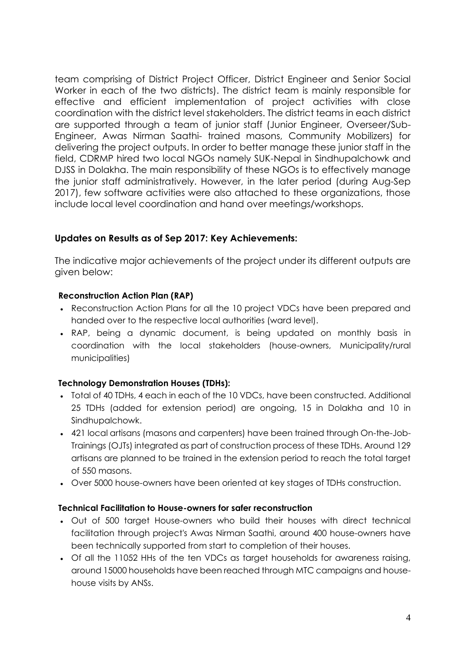team comprising of District Project Officer, District Engineer and Senior Social Worker in each of the two districts). The district team is mainly responsible for effective and efficient implementation of project activities with close coordination with the district level stakeholders. The district teams in each district are supported through a team of junior staff (Junior Engineer, Overseer/Sub-Engineer, Awas Nirman Saathi- trained masons, Community Mobilizers) for delivering the project outputs. In order to better manage these junior staff in the field, CDRMP hired two local NGOs namely SUK-Nepal in Sindhupalchowk and DJSS in Dolakha. The main responsibility of these NGOs is to effectively manage the junior staff administratively. However, in the later period (during Aug-Sep 2017), few software activities were also attached to these organizations, those include local level coordination and hand over meetings/workshops.

# **Updates on Results as of Sep 2017: Key Achievements:**

The indicative major achievements of the project under its different outputs are given below:

# **Reconstruction Action Plan (RAP)**

- Reconstruction Action Plans for all the 10 project VDCs have been prepared and handed over to the respective local authorities (ward level).
- RAP, being a dynamic document, is being updated on monthly basis in coordination with the local stakeholders (house-owners, Municipality/rural municipalities)

# **Technology Demonstration Houses (TDHs):**

- Total of 40 TDHs, 4 each in each of the 10 VDCs, have been constructed. Additional 25 TDHs (added for extension period) are ongoing, 15 in Dolakha and 10 in Sindhupalchowk.
- 421 local artisans (masons and carpenters) have been trained through On-the-Job-Trainings (OJTs) integrated as part of construction process of these TDHs. Around 129 artisans are planned to be trained in the extension period to reach the total target of 550 masons.
- Over 5000 house-owners have been oriented at key stages of TDHs construction.

# **Technical Facilitation to House-owners for safer reconstruction**

- Out of 500 target House-owners who build their houses with direct technical facilitation through project's Awas Nirman Saathi, around 400 house-owners have been technically supported from start to completion of their houses.
- Of all the 11052 HHs of the ten VDCs as target households for awareness raising, around 15000 households have been reached through MTC campaigns and househouse visits by ANSs.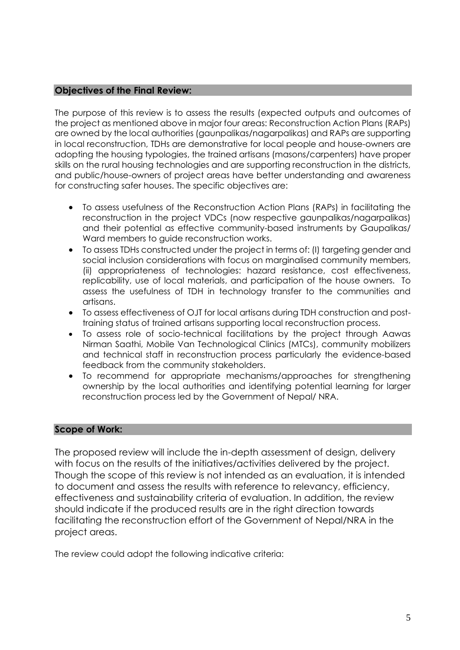### **Objectives of the Final Review:**

The purpose of this review is to assess the results (expected outputs and outcomes of the project as mentioned above in major four areas: Reconstruction Action Plans (RAPs) are owned by the local authorities (gaunpalikas/nagarpalikas) and RAPs are supporting in local reconstruction, TDHs are demonstrative for local people and house-owners are adopting the housing typologies, the trained artisans (masons/carpenters) have proper skills on the rural housing technologies and are supporting reconstruction in the districts, and public/house-owners of project areas have better understanding and awareness for constructing safer houses. The specific objectives are:

- To assess usefulness of the Reconstruction Action Plans (RAPs) in facilitating the reconstruction in the project VDCs (now respective gaunpalikas/nagarpalikas) and their potential as effective community-based instruments by Gaupalikas/ Ward members to guide reconstruction works.
- To assess TDHs constructed under the project in terms of: (I) targeting gender and social inclusion considerations with focus on marginalised community members, (ii) appropriateness of technologies: hazard resistance, cost effectiveness, replicability, use of local materials, and participation of the house owners. To assess the usefulness of TDH in technology transfer to the communities and artisans.
- To assess effectiveness of OJT for local artisans during TDH construction and posttraining status of trained artisans supporting local reconstruction process.
- To assess role of socio-technical facilitations by the project through Aawas Nirman Saathi, Mobile Van Technological Clinics (MTCs), community mobilizers and technical staff in reconstruction process particularly the evidence-based feedback from the community stakeholders.
- To recommend for appropriate mechanisms/approaches for strengthening ownership by the local authorities and identifying potential learning for larger reconstruction process led by the Government of Nepal/ NRA.

# **Scope of Work:**

The proposed review will include the in-depth assessment of design, delivery with focus on the results of the initiatives/activities delivered by the project. Though the scope of this review is not intended as an evaluation, it is intended to document and assess the results with reference to relevancy, efficiency, effectiveness and sustainability criteria of evaluation. In addition, the review should indicate if the produced results are in the right direction towards facilitating the reconstruction effort of the Government of Nepal/NRA in the project areas.

The review could adopt the following indicative criteria: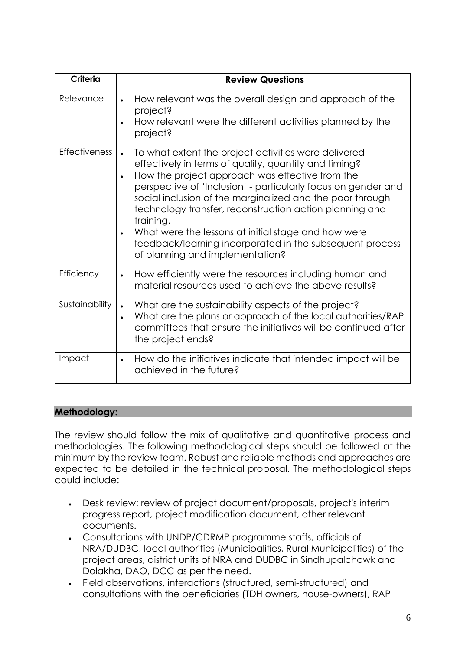| <b>Criteria</b>      | <b>Review Questions</b>                                                                                                                                                                                                                                                                                                                                                                                                                                                                                                                                |  |  |  |  |
|----------------------|--------------------------------------------------------------------------------------------------------------------------------------------------------------------------------------------------------------------------------------------------------------------------------------------------------------------------------------------------------------------------------------------------------------------------------------------------------------------------------------------------------------------------------------------------------|--|--|--|--|
| Relevance            | How relevant was the overall design and approach of the<br>$\bullet$<br>project?<br>How relevant were the different activities planned by the<br>project?                                                                                                                                                                                                                                                                                                                                                                                              |  |  |  |  |
| <b>Effectiveness</b> | To what extent the project activities were delivered<br>$\bullet$<br>effectively in terms of quality, quantity and timing?<br>How the project approach was effective from the<br>$\bullet$<br>perspective of 'Inclusion' - particularly focus on gender and<br>social inclusion of the marginalized and the poor through<br>technology transfer, reconstruction action planning and<br>training.<br>What were the lessons at initial stage and how were<br>feedback/learning incorporated in the subsequent process<br>of planning and implementation? |  |  |  |  |
| Efficiency           | How efficiently were the resources including human and<br>$\bullet$<br>material resources used to achieve the above results?                                                                                                                                                                                                                                                                                                                                                                                                                           |  |  |  |  |
| Sustainability       | What are the sustainability aspects of the project?<br>$\bullet$<br>What are the plans or approach of the local authorities/RAP<br>$\bullet$<br>committees that ensure the initiatives will be continued after<br>the project ends?                                                                                                                                                                                                                                                                                                                    |  |  |  |  |
| Impact               | How do the initiatives indicate that intended impact will be<br>$\bullet$<br>achieved in the future?                                                                                                                                                                                                                                                                                                                                                                                                                                                   |  |  |  |  |

# **Methodology:**

The review should follow the mix of qualitative and quantitative process and methodologies. The following methodological steps should be followed at the minimum by the review team. Robust and reliable methods and approaches are expected to be detailed in the technical proposal. The methodological steps could include:

- Desk review: review of project document/proposals, project's interim progress report, project modification document, other relevant documents.
- Consultations with UNDP/CDRMP programme staffs, officials of NRA/DUDBC, local authorities (Municipalities, Rural Municipalities) of the project areas, district units of NRA and DUDBC in Sindhupalchowk and Dolakha, DAO, DCC as per the need.
- Field observations, interactions (structured, semi-structured) and consultations with the beneficiaries (TDH owners, house-owners), RAP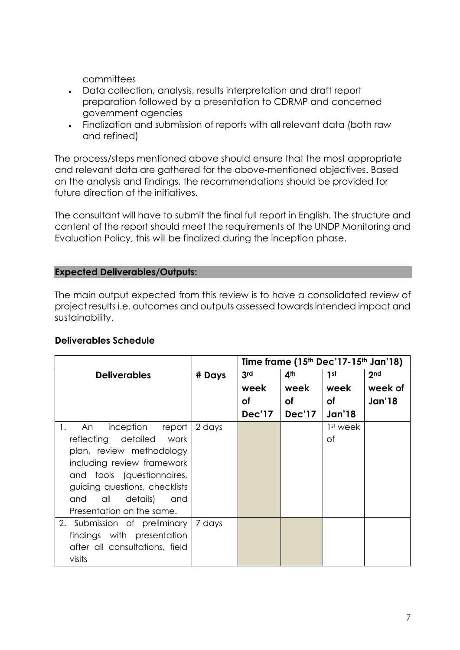committees

- Data collection, analysis, results interpretation and draft report preparation followed by a presentation to CDRMP and concerned government agencies
- Finalization and submission of reports with all relevant data (both raw and refined)

The process/steps mentioned above should ensure that the most appropriate and relevant data are gathered for the above-mentioned objectives. Based on the analysis and findings, the recommendations should be provided for future direction of the initiatives.

The consultant will have to submit the final full report in English. The structure and content of the report should meet the requirements of the UNDP Monitoring and Evaluation Policy, this will be finalized during the inception phase.

# **Expected Deliverables/Outputs:**

The main output expected from this review is to have a consolidated review of project results i.e. outcomes and outputs assessed towards intended impact and sustainability.

# **Deliverables Schedule**

|                                |        | Time frame (15th Dec'17-15th Jan'18) |                 |                 |                 |
|--------------------------------|--------|--------------------------------------|-----------------|-----------------|-----------------|
| <b>Deliverables</b>            | # Days | 3rd                                  | 4 <sup>th</sup> | 1 <sup>st</sup> | 2 <sub>nd</sub> |
|                                |        | week                                 | week            | week            | week of         |
|                                |        | οf                                   | οf              | <b>of</b>       | Jan'18          |
|                                |        | <b>Dec'17</b>                        | <b>Dec'17</b>   | Jan'18          |                 |
| inception report<br>1.<br>An   | 2 days |                                      |                 | 1st week        |                 |
| reflecting detailed work       |        |                                      |                 | оf              |                 |
| plan, review methodology       |        |                                      |                 |                 |                 |
| including review framework     |        |                                      |                 |                 |                 |
| and tools (questionnaires,     |        |                                      |                 |                 |                 |
| guiding questions, checklists  |        |                                      |                 |                 |                 |
| all details)<br>and<br>and     |        |                                      |                 |                 |                 |
| Presentation on the same.      |        |                                      |                 |                 |                 |
| 2. Submission of preliminary   | 7 days |                                      |                 |                 |                 |
| findings with presentation     |        |                                      |                 |                 |                 |
| after all consultations, field |        |                                      |                 |                 |                 |
| visits                         |        |                                      |                 |                 |                 |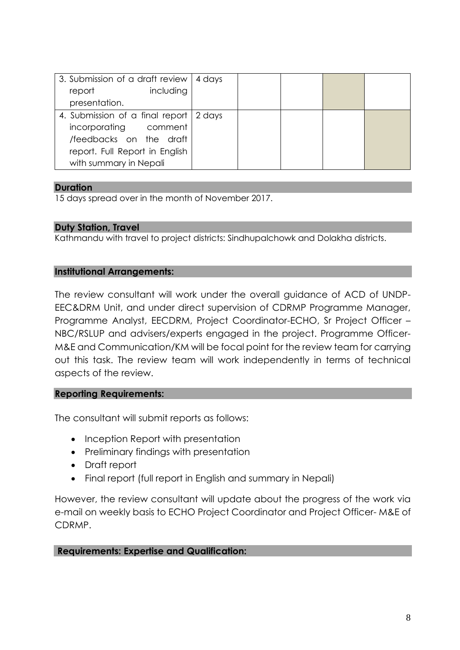| 3. Submission of a draft review          | 4 days |  |  |
|------------------------------------------|--------|--|--|
| including<br>report                      |        |  |  |
| presentation.                            |        |  |  |
| 4. Submission of a final report   2 days |        |  |  |
| incorporating comment                    |        |  |  |
| /feedbacks on the draft                  |        |  |  |
| report. Full Report in English           |        |  |  |
| with summary in Nepali                   |        |  |  |

### **Duration**

15 days spread over in the month of November 2017.

### **Duty Station, Travel**

Kathmandu with travel to project districts: Sindhupalchowk and Dolakha districts.

### **Institutional Arrangements:**

The review consultant will work under the overall guidance of ACD of UNDP-EEC&DRM Unit, and under direct supervision of CDRMP Programme Manager, Programme Analyst, EECDRM, Project Coordinator-ECHO, Sr Project Officer – NBC/RSLUP and advisers/experts engaged in the project. Programme Officer-M&E and Communication/KM will be focal point for the review team for carrying out this task. The review team will work independently in terms of technical aspects of the review.

### **Reporting Requirements:**

The consultant will submit reports as follows:

- Inception Report with presentation
- Preliminary findings with presentation
- Draft report
- Final report (full report in English and summary in Nepali)

However, the review consultant will update about the progress of the work via e-mail on weekly basis to ECHO Project Coordinator and Project Officer- M&E of CDRMP.

# **Requirements: Expertise and Qualification:**